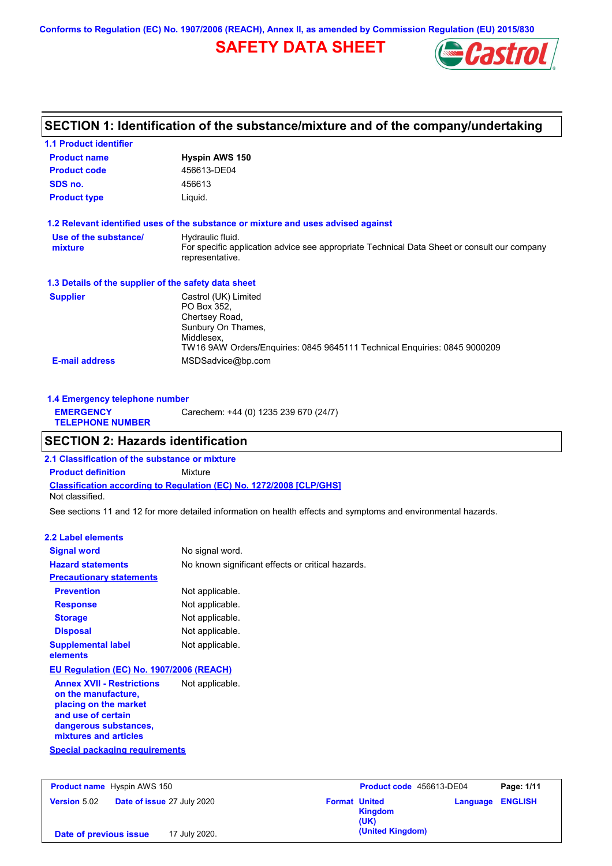**Conforms to Regulation (EC) No. 1907/2006 (REACH), Annex II, as amended by Commission Regulation (EU) 2015/830**

## **SAFETY DATA SHEET**



| <b>1.1 Product identifier</b>                        |                                                                                                                                                                        |
|------------------------------------------------------|------------------------------------------------------------------------------------------------------------------------------------------------------------------------|
| <b>Product name</b>                                  | <b>Hyspin AWS 150</b>                                                                                                                                                  |
| <b>Product code</b>                                  | 456613-DE04                                                                                                                                                            |
| SDS no.                                              | 456613                                                                                                                                                                 |
| <b>Product type</b>                                  | Liquid.                                                                                                                                                                |
|                                                      | 1.2 Relevant identified uses of the substance or mixture and uses advised against                                                                                      |
| Use of the substance/<br>mixture                     | Hydraulic fluid.<br>For specific application advice see appropriate Technical Data Sheet or consult our company<br>representative.                                     |
| 1.3 Details of the supplier of the safety data sheet |                                                                                                                                                                        |
| <b>Supplier</b>                                      | Castrol (UK) Limited<br>PO Box 352,<br>Chertsey Road,<br>Sunbury On Thames,<br>Middlesex,<br>TW16 9AW Orders/Enquiries: 0845 9645111 Technical Enquiries: 0845 9000209 |
| <b>E-mail address</b>                                | MSDSadvice@bp.com                                                                                                                                                      |

| Carechem: +44 (0) 1235 239 670 (24/7)<br><b>EMERGENCY</b><br><b>TELEPHONE NUMBER</b> | 1.4 Emergency telephone number |  |  |
|--------------------------------------------------------------------------------------|--------------------------------|--|--|
|                                                                                      |                                |  |  |

## **SECTION 2: Hazards identification**

**Classification according to Regulation (EC) No. 1272/2008 [CLP/GHS] 2.1 Classification of the substance or mixture Product definition** Mixture Not classified.

See sections 11 and 12 for more detailed information on health effects and symptoms and environmental hazards.

### **2.2 Label elements**

| <b>Signal word</b>                                                                                                                                       | No signal word.                                   |
|----------------------------------------------------------------------------------------------------------------------------------------------------------|---------------------------------------------------|
| <b>Hazard statements</b>                                                                                                                                 | No known significant effects or critical hazards. |
| <b>Precautionary statements</b>                                                                                                                          |                                                   |
| <b>Prevention</b>                                                                                                                                        | Not applicable.                                   |
| <b>Response</b>                                                                                                                                          | Not applicable.                                   |
| <b>Storage</b>                                                                                                                                           | Not applicable.                                   |
| <b>Disposal</b>                                                                                                                                          | Not applicable.                                   |
| <b>Supplemental label</b><br>elements                                                                                                                    | Not applicable.                                   |
| <b>EU Regulation (EC) No. 1907/2006 (REACH)</b>                                                                                                          |                                                   |
| <b>Annex XVII - Restrictions</b><br>on the manufacture,<br>placing on the market<br>and use of certain<br>dangerous substances,<br>mixtures and articles | Not applicable.                                   |
| Special packaging requirements                                                                                                                           |                                                   |

| <b>Product name</b> Hyspin AWS 150                       |                      | Product code 456613-DE04 | Page: 1/11              |
|----------------------------------------------------------|----------------------|--------------------------|-------------------------|
| <b>Date of issue 27 July 2020</b><br><b>Version 5.02</b> | <b>Format United</b> | <b>Kingdom</b><br>(UK)   | <b>Language ENGLISH</b> |
| 17 July 2020.<br>Date of previous issue                  |                      | (United Kingdom)         |                         |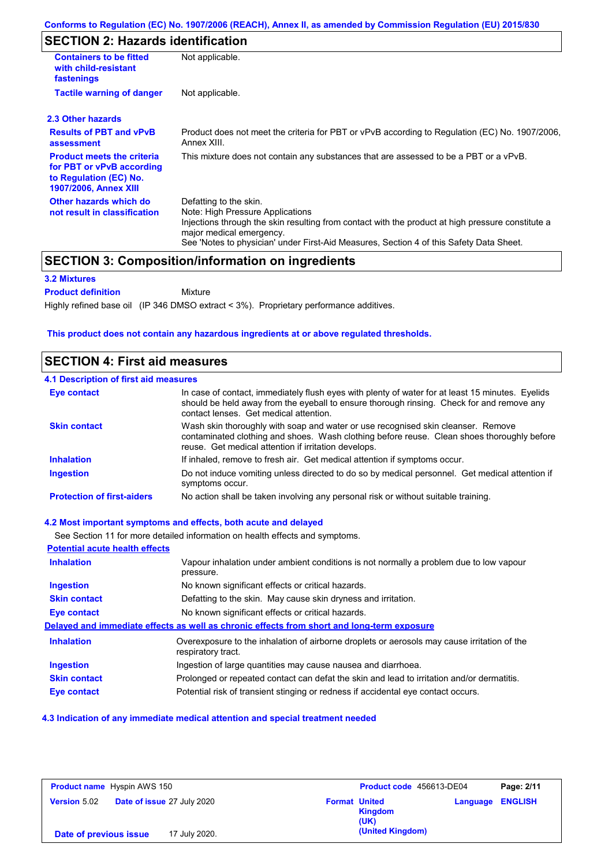## **SECTION 2: Hazards identification**

| <b>Containers to be fitted</b><br>with child-resistant<br>fastenings                                                     | Not applicable.                                                                                                                                                                                                                                                                        |  |
|--------------------------------------------------------------------------------------------------------------------------|----------------------------------------------------------------------------------------------------------------------------------------------------------------------------------------------------------------------------------------------------------------------------------------|--|
| <b>Tactile warning of danger</b><br>Not applicable.                                                                      |                                                                                                                                                                                                                                                                                        |  |
| 2.3 Other hazards                                                                                                        |                                                                                                                                                                                                                                                                                        |  |
| <b>Results of PBT and vPvB</b><br>assessment                                                                             | Product does not meet the criteria for PBT or vPvB according to Regulation (EC) No. 1907/2006,<br>Annex XIII.                                                                                                                                                                          |  |
| <b>Product meets the criteria</b><br>for PBT or vPvB according<br>to Regulation (EC) No.<br><b>1907/2006, Annex XIII</b> | This mixture does not contain any substances that are assessed to be a PBT or a vPvB.                                                                                                                                                                                                  |  |
| Other hazards which do<br>not result in classification                                                                   | Defatting to the skin.<br>Note: High Pressure Applications<br>Injections through the skin resulting from contact with the product at high pressure constitute a<br>major medical emergency.<br>See 'Notes to physician' under First-Aid Measures, Section 4 of this Safety Data Sheet. |  |

## **SECTION 3: Composition/information on ingredients**

Mixture

### **3.2 Mixtures**

**Product definition**

Highly refined base oil (IP 346 DMSO extract < 3%). Proprietary performance additives.

### **This product does not contain any hazardous ingredients at or above regulated thresholds.**

### **SECTION 4: First aid measures**

| <b>4.1 Description of first aid measures</b> |                                                                                                                                                                                                                                         |
|----------------------------------------------|-----------------------------------------------------------------------------------------------------------------------------------------------------------------------------------------------------------------------------------------|
| <b>Eye contact</b>                           | In case of contact, immediately flush eyes with plenty of water for at least 15 minutes. Eyelids<br>should be held away from the eyeball to ensure thorough rinsing. Check for and remove any<br>contact lenses. Get medical attention. |
| <b>Skin contact</b>                          | Wash skin thoroughly with soap and water or use recognised skin cleanser. Remove<br>contaminated clothing and shoes. Wash clothing before reuse. Clean shoes thoroughly before<br>reuse. Get medical attention if irritation develops.  |
| <b>Inhalation</b>                            | If inhaled, remove to fresh air. Get medical attention if symptoms occur.                                                                                                                                                               |
| <b>Ingestion</b>                             | Do not induce vomiting unless directed to do so by medical personnel. Get medical attention if<br>symptoms occur.                                                                                                                       |
| <b>Protection of first-aiders</b>            | No action shall be taken involving any personal risk or without suitable training.                                                                                                                                                      |

### **4.2 Most important symptoms and effects, both acute and delayed**

See Section 11 for more detailed information on health effects and symptoms. **Potential acute health effects Inhalation** Vapour inhalation under ambient conditions is not normally a problem due to low vapour pressure. **Ingestion** No known significant effects or critical hazards. **Skin contact** Defatting to the skin. May cause skin dryness and irritation. **Eye contact** No known significant effects or critical hazards. **Delayed and immediate effects as well as chronic effects from short and long-term exposure Inhalation Ingestion Skin contact Eye contact** Overexposure to the inhalation of airborne droplets or aerosols may cause irritation of the respiratory tract. Ingestion of large quantities may cause nausea and diarrhoea. Prolonged or repeated contact can defat the skin and lead to irritation and/or dermatitis. Potential risk of transient stinging or redness if accidental eye contact occurs.

#### **4.3 Indication of any immediate medical attention and special treatment needed**

| <b>Product name</b> Hyspin AWS 150 |                                   |                      | Product code 456613-DE04 |          | Page: 2/11     |
|------------------------------------|-----------------------------------|----------------------|--------------------------|----------|----------------|
| <b>Version 5.02</b>                | <b>Date of issue 27 July 2020</b> | <b>Format United</b> | <b>Kingdom</b><br>(UK)   | Language | <b>ENGLISH</b> |
| Date of previous issue             | 17 July 2020.                     |                      | (United Kingdom)         |          |                |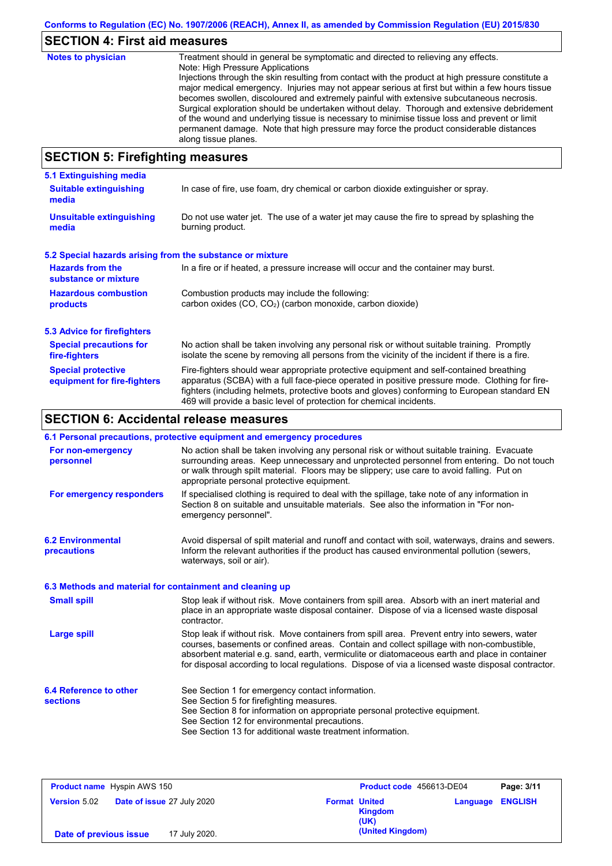# **SECTION 4: First aid measures**

| <b>Notes to physician</b>          | Treatment should in general be symptomatic and directed to relieving any effects.<br>Note: High Pressure Applications<br>Injections through the skin resulting from contact with the product at high pressure constitute a<br>major medical emergency. Injuries may not appear serious at first but within a few hours tissue<br>becomes swollen, discoloured and extremely painful with extensive subcutaneous necrosis.<br>Surgical exploration should be undertaken without delay. Thorough and extensive debridement<br>of the wound and underlying tissue is necessary to minimise tissue loss and prevent or limit<br>permanent damage. Note that high pressure may force the product considerable distances<br>along tissue planes. |
|------------------------------------|--------------------------------------------------------------------------------------------------------------------------------------------------------------------------------------------------------------------------------------------------------------------------------------------------------------------------------------------------------------------------------------------------------------------------------------------------------------------------------------------------------------------------------------------------------------------------------------------------------------------------------------------------------------------------------------------------------------------------------------------|
| CECTION E. Einefinkting measonings |                                                                                                                                                                                                                                                                                                                                                                                                                                                                                                                                                                                                                                                                                                                                            |

## **SECTION 5: Firefighting measures**

| 5.1 Extinguishing media                                                                                                    |                                                                                                                                                                                                                                                                                                                                                                   |
|----------------------------------------------------------------------------------------------------------------------------|-------------------------------------------------------------------------------------------------------------------------------------------------------------------------------------------------------------------------------------------------------------------------------------------------------------------------------------------------------------------|
| <b>Suitable extinguishing</b><br>In case of fire, use foam, dry chemical or carbon dioxide extinguisher or spray.<br>media |                                                                                                                                                                                                                                                                                                                                                                   |
| <b>Unsuitable extinguishing</b><br>media                                                                                   | Do not use water jet. The use of a water jet may cause the fire to spread by splashing the<br>burning product.                                                                                                                                                                                                                                                    |
| 5.2 Special hazards arising from the substance or mixture                                                                  |                                                                                                                                                                                                                                                                                                                                                                   |
| <b>Hazards from the</b><br>substance or mixture                                                                            | In a fire or if heated, a pressure increase will occur and the container may burst.                                                                                                                                                                                                                                                                               |
| <b>Hazardous combustion</b>                                                                                                | Combustion products may include the following:<br>carbon oxides (CO, CO <sub>2</sub> ) (carbon monoxide, carbon dioxide)                                                                                                                                                                                                                                          |
| products                                                                                                                   |                                                                                                                                                                                                                                                                                                                                                                   |
| 5.3 Advice for firefighters                                                                                                |                                                                                                                                                                                                                                                                                                                                                                   |
| <b>Special precautions for</b><br>fire-fighters                                                                            | No action shall be taken involving any personal risk or without suitable training. Promptly<br>isolate the scene by removing all persons from the vicinity of the incident if there is a fire.                                                                                                                                                                    |
| <b>Special protective</b><br>equipment for fire-fighters                                                                   | Fire-fighters should wear appropriate protective equipment and self-contained breathing<br>apparatus (SCBA) with a full face-piece operated in positive pressure mode. Clothing for fire-<br>fighters (including helmets, protective boots and gloves) conforming to European standard EN<br>469 will provide a basic level of protection for chemical incidents. |

## **SECTION 6: Accidental release measures**

|                                                          | 6.1 Personal precautions, protective equipment and emergency procedures                                                                                                                                                                                                                                                                                                                        |
|----------------------------------------------------------|------------------------------------------------------------------------------------------------------------------------------------------------------------------------------------------------------------------------------------------------------------------------------------------------------------------------------------------------------------------------------------------------|
| For non-emergency<br>personnel                           | No action shall be taken involving any personal risk or without suitable training. Evacuate<br>surrounding areas. Keep unnecessary and unprotected personnel from entering. Do not touch<br>or walk through spilt material. Floors may be slippery; use care to avoid falling. Put on<br>appropriate personal protective equipment.                                                            |
| For emergency responders                                 | If specialised clothing is required to deal with the spillage, take note of any information in<br>Section 8 on suitable and unsuitable materials. See also the information in "For non-<br>emergency personnel".                                                                                                                                                                               |
| <b>6.2 Environmental</b><br>precautions                  | Avoid dispersal of spilt material and runoff and contact with soil, waterways, drains and sewers.<br>Inform the relevant authorities if the product has caused environmental pollution (sewers,<br>waterways, soil or air).                                                                                                                                                                    |
| 6.3 Methods and material for containment and cleaning up |                                                                                                                                                                                                                                                                                                                                                                                                |
| <b>Small spill</b>                                       | Stop leak if without risk. Move containers from spill area. Absorb with an inert material and<br>place in an appropriate waste disposal container. Dispose of via a licensed waste disposal<br>contractor.                                                                                                                                                                                     |
| <b>Large spill</b>                                       | Stop leak if without risk. Move containers from spill area. Prevent entry into sewers, water<br>courses, basements or confined areas. Contain and collect spillage with non-combustible,<br>absorbent material e.g. sand, earth, vermiculite or diatomaceous earth and place in container<br>for disposal according to local regulations. Dispose of via a licensed waste disposal contractor. |
| 6.4 Reference to other<br><b>sections</b>                | See Section 1 for emergency contact information.<br>See Section 5 for firefighting measures.<br>See Section 8 for information on appropriate personal protective equipment.<br>See Section 12 for environmental precautions.<br>See Section 13 for additional waste treatment information.                                                                                                     |

| <b>Product name</b> Hyspin AWS 150                       | Product code 456613-DE04                                           | Page: 3/11 |
|----------------------------------------------------------|--------------------------------------------------------------------|------------|
| <b>Date of issue 27 July 2020</b><br><b>Version 5.02</b> | <b>Format United</b><br><b>Language ENGLISH</b><br>Kingdom<br>(UK) |            |
| 17 July 2020.<br>Date of previous issue                  | (United Kingdom)                                                   |            |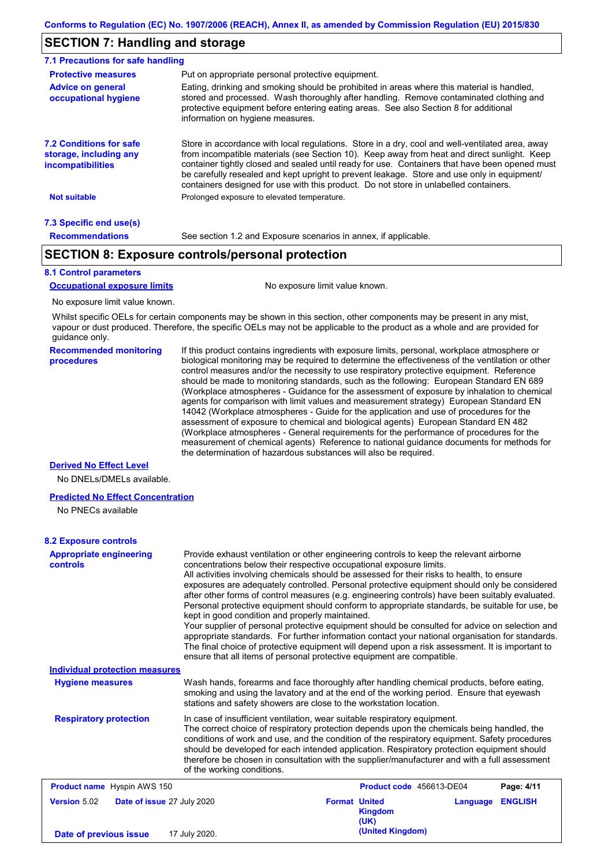## **SECTION 7: Handling and storage**

| 7.1 Precautions for safe handling                                                    |                                                                                                                                                                                                                                                                                                                                                                                                                                                                                          |
|--------------------------------------------------------------------------------------|------------------------------------------------------------------------------------------------------------------------------------------------------------------------------------------------------------------------------------------------------------------------------------------------------------------------------------------------------------------------------------------------------------------------------------------------------------------------------------------|
| <b>Protective measures</b>                                                           | Put on appropriate personal protective equipment.                                                                                                                                                                                                                                                                                                                                                                                                                                        |
| <b>Advice on general</b><br>occupational hygiene                                     | Eating, drinking and smoking should be prohibited in areas where this material is handled.<br>stored and processed. Wash thoroughly after handling. Remove contaminated clothing and<br>protective equipment before entering eating areas. See also Section 8 for additional<br>information on hygiene measures.                                                                                                                                                                         |
| <b>7.2 Conditions for safe</b><br>storage, including any<br><i>incompatibilities</i> | Store in accordance with local requiations. Store in a dry, cool and well-ventilated area, away<br>from incompatible materials (see Section 10). Keep away from heat and direct sunlight. Keep<br>container tightly closed and sealed until ready for use. Containers that have been opened must<br>be carefully resealed and kept upright to prevent leakage. Store and use only in equipment/<br>containers designed for use with this product. Do not store in unlabelled containers. |
| Not suitable                                                                         | Prolonged exposure to elevated temperature.                                                                                                                                                                                                                                                                                                                                                                                                                                              |
| 7.3 Specific end use(s)                                                              |                                                                                                                                                                                                                                                                                                                                                                                                                                                                                          |
| <b>Recommendations</b>                                                               | See section 1.2 and Exposure scenarios in annex, if applicable.                                                                                                                                                                                                                                                                                                                                                                                                                          |

## **SECTION 8: Exposure controls/personal protection**

### **8.1 Control parameters**

**Occupational exposure limits** No exposure limit value known.

No exposure limit value known.

Whilst specific OELs for certain components may be shown in this section, other components may be present in any mist, vapour or dust produced. Therefore, the specific OELs may not be applicable to the product as a whole and are provided for guidance only.

**Recommended monitoring procedures** If this product contains ingredients with exposure limits, personal, workplace atmosphere or biological monitoring may be required to determine the effectiveness of the ventilation or other control measures and/or the necessity to use respiratory protective equipment. Reference should be made to monitoring standards, such as the following: European Standard EN 689 (Workplace atmospheres - Guidance for the assessment of exposure by inhalation to chemical agents for comparison with limit values and measurement strategy) European Standard EN 14042 (Workplace atmospheres - Guide for the application and use of procedures for the assessment of exposure to chemical and biological agents) European Standard EN 482 (Workplace atmospheres - General requirements for the performance of procedures for the measurement of chemical agents) Reference to national guidance documents for methods for the determination of hazardous substances will also be required.

### **Derived No Effect Level**

No DNELs/DMELs available.

#### **Predicted No Effect Concentration**

No PNECs available

### **8.2 Exposure controls**

| <b>Appropriate engineering</b><br><b>controls</b> | Provide exhaust ventilation or other engineering controls to keep the relevant airborne<br>concentrations below their respective occupational exposure limits.<br>All activities involving chemicals should be assessed for their risks to health, to ensure<br>exposures are adequately controlled. Personal protective equipment should only be considered<br>after other forms of control measures (e.g. engineering controls) have been suitably evaluated.<br>Personal protective equipment should conform to appropriate standards, be suitable for use, be<br>kept in good condition and properly maintained.<br>Your supplier of personal protective equipment should be consulted for advice on selection and<br>appropriate standards. For further information contact your national organisation for standards.<br>The final choice of protective equipment will depend upon a risk assessment. It is important to<br>ensure that all items of personal protective equipment are compatible. |                                                            |                |
|---------------------------------------------------|---------------------------------------------------------------------------------------------------------------------------------------------------------------------------------------------------------------------------------------------------------------------------------------------------------------------------------------------------------------------------------------------------------------------------------------------------------------------------------------------------------------------------------------------------------------------------------------------------------------------------------------------------------------------------------------------------------------------------------------------------------------------------------------------------------------------------------------------------------------------------------------------------------------------------------------------------------------------------------------------------------|------------------------------------------------------------|----------------|
| <b>Individual protection measures</b>             |                                                                                                                                                                                                                                                                                                                                                                                                                                                                                                                                                                                                                                                                                                                                                                                                                                                                                                                                                                                                         |                                                            |                |
| <b>Hygiene measures</b>                           | Wash hands, forearms and face thoroughly after handling chemical products, before eating,<br>smoking and using the lavatory and at the end of the working period. Ensure that eyewash<br>stations and safety showers are close to the workstation location.                                                                                                                                                                                                                                                                                                                                                                                                                                                                                                                                                                                                                                                                                                                                             |                                                            |                |
| <b>Respiratory protection</b>                     | In case of insufficient ventilation, wear suitable respiratory equipment.<br>The correct choice of respiratory protection depends upon the chemicals being handled, the<br>conditions of work and use, and the condition of the respiratory equipment. Safety procedures<br>should be developed for each intended application. Respiratory protection equipment should<br>therefore be chosen in consultation with the supplier/manufacturer and with a full assessment<br>of the working conditions.                                                                                                                                                                                                                                                                                                                                                                                                                                                                                                   |                                                            |                |
| Product name Hyspin AWS 150                       |                                                                                                                                                                                                                                                                                                                                                                                                                                                                                                                                                                                                                                                                                                                                                                                                                                                                                                                                                                                                         | Product code 456613-DE04                                   | Page: 4/11     |
| <b>Version 5.02</b><br>Date of issue 27 July 2020 |                                                                                                                                                                                                                                                                                                                                                                                                                                                                                                                                                                                                                                                                                                                                                                                                                                                                                                                                                                                                         | <b>Format United</b><br>Language<br><b>Kingdom</b><br>(UK) | <b>ENGLISH</b> |
| Date of previous issue                            | 17 July 2020.                                                                                                                                                                                                                                                                                                                                                                                                                                                                                                                                                                                                                                                                                                                                                                                                                                                                                                                                                                                           | (United Kingdom)                                           |                |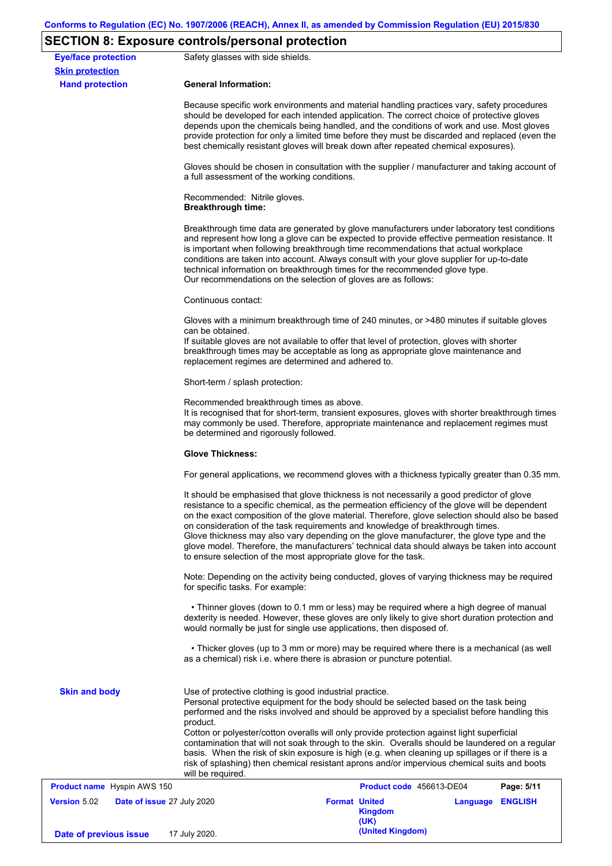# **SECTION 8: Exposure controls/personal protection**

|                                                      | LOTION OF EXPOUND CONTROISPOIDONME PROCESSION                                                                                                                                                                                                                                                                                                                                                                                                                                                                                                                                                                                                     |                          |                  |            |  |
|------------------------------------------------------|---------------------------------------------------------------------------------------------------------------------------------------------------------------------------------------------------------------------------------------------------------------------------------------------------------------------------------------------------------------------------------------------------------------------------------------------------------------------------------------------------------------------------------------------------------------------------------------------------------------------------------------------------|--------------------------|------------------|------------|--|
| <b>Eye/face protection</b><br><b>Skin protection</b> | Safety glasses with side shields.                                                                                                                                                                                                                                                                                                                                                                                                                                                                                                                                                                                                                 |                          |                  |            |  |
| <b>Hand protection</b>                               | <b>General Information:</b>                                                                                                                                                                                                                                                                                                                                                                                                                                                                                                                                                                                                                       |                          |                  |            |  |
|                                                      | Because specific work environments and material handling practices vary, safety procedures<br>should be developed for each intended application. The correct choice of protective gloves<br>depends upon the chemicals being handled, and the conditions of work and use. Most gloves<br>provide protection for only a limited time before they must be discarded and replaced (even the<br>best chemically resistant gloves will break down after repeated chemical exposures).                                                                                                                                                                  |                          |                  |            |  |
|                                                      | Gloves should be chosen in consultation with the supplier / manufacturer and taking account of<br>a full assessment of the working conditions.                                                                                                                                                                                                                                                                                                                                                                                                                                                                                                    |                          |                  |            |  |
|                                                      | Recommended: Nitrile gloves.<br><b>Breakthrough time:</b>                                                                                                                                                                                                                                                                                                                                                                                                                                                                                                                                                                                         |                          |                  |            |  |
|                                                      | Breakthrough time data are generated by glove manufacturers under laboratory test conditions<br>and represent how long a glove can be expected to provide effective permeation resistance. It<br>is important when following breakthrough time recommendations that actual workplace<br>conditions are taken into account. Always consult with your glove supplier for up-to-date<br>technical information on breakthrough times for the recommended glove type.<br>Our recommendations on the selection of gloves are as follows:                                                                                                                |                          |                  |            |  |
|                                                      | Continuous contact:                                                                                                                                                                                                                                                                                                                                                                                                                                                                                                                                                                                                                               |                          |                  |            |  |
|                                                      | Gloves with a minimum breakthrough time of 240 minutes, or >480 minutes if suitable gloves<br>can be obtained.<br>If suitable gloves are not available to offer that level of protection, gloves with shorter<br>breakthrough times may be acceptable as long as appropriate glove maintenance and<br>replacement regimes are determined and adhered to.                                                                                                                                                                                                                                                                                          |                          |                  |            |  |
|                                                      | Short-term / splash protection:                                                                                                                                                                                                                                                                                                                                                                                                                                                                                                                                                                                                                   |                          |                  |            |  |
|                                                      | Recommended breakthrough times as above.<br>It is recognised that for short-term, transient exposures, gloves with shorter breakthrough times<br>may commonly be used. Therefore, appropriate maintenance and replacement regimes must<br>be determined and rigorously followed.                                                                                                                                                                                                                                                                                                                                                                  |                          |                  |            |  |
|                                                      | <b>Glove Thickness:</b>                                                                                                                                                                                                                                                                                                                                                                                                                                                                                                                                                                                                                           |                          |                  |            |  |
|                                                      | For general applications, we recommend gloves with a thickness typically greater than 0.35 mm.                                                                                                                                                                                                                                                                                                                                                                                                                                                                                                                                                    |                          |                  |            |  |
|                                                      | It should be emphasised that glove thickness is not necessarily a good predictor of glove<br>resistance to a specific chemical, as the permeation efficiency of the glove will be dependent<br>on the exact composition of the glove material. Therefore, glove selection should also be based<br>on consideration of the task requirements and knowledge of breakthrough times.<br>Glove thickness may also vary depending on the glove manufacturer, the glove type and the<br>glove model. Therefore, the manufacturers' technical data should always be taken into account<br>to ensure selection of the most appropriate glove for the task. |                          |                  |            |  |
|                                                      | Note: Depending on the activity being conducted, gloves of varying thickness may be required<br>for specific tasks. For example:                                                                                                                                                                                                                                                                                                                                                                                                                                                                                                                  |                          |                  |            |  |
|                                                      | • Thinner gloves (down to 0.1 mm or less) may be required where a high degree of manual<br>dexterity is needed. However, these gloves are only likely to give short duration protection and<br>would normally be just for single use applications, then disposed of.                                                                                                                                                                                                                                                                                                                                                                              |                          |                  |            |  |
|                                                      | • Thicker gloves (up to 3 mm or more) may be required where there is a mechanical (as well<br>as a chemical) risk i.e. where there is abrasion or puncture potential.                                                                                                                                                                                                                                                                                                                                                                                                                                                                             |                          |                  |            |  |
| <b>Skin and body</b>                                 | Use of protective clothing is good industrial practice.<br>Personal protective equipment for the body should be selected based on the task being<br>performed and the risks involved and should be approved by a specialist before handling this<br>product.                                                                                                                                                                                                                                                                                                                                                                                      |                          |                  |            |  |
|                                                      | Cotton or polyester/cotton overalls will only provide protection against light superficial<br>contamination that will not soak through to the skin. Overalls should be laundered on a regular<br>basis. When the risk of skin exposure is high (e.g. when cleaning up spillages or if there is a<br>risk of splashing) then chemical resistant aprons and/or impervious chemical suits and boots<br>will be required.                                                                                                                                                                                                                             |                          |                  |            |  |
| <b>Product name</b> Hyspin AWS 150                   |                                                                                                                                                                                                                                                                                                                                                                                                                                                                                                                                                                                                                                                   | Product code 456613-DE04 |                  | Page: 5/11 |  |
| <b>Version 5.02</b><br>Date of issue 27 July 2020    | <b>Format United</b>                                                                                                                                                                                                                                                                                                                                                                                                                                                                                                                                                                                                                              | <b>Kingdom</b><br>(UK)   | Language ENGLISH |            |  |
| Date of previous issue                               | 17 July 2020.                                                                                                                                                                                                                                                                                                                                                                                                                                                                                                                                                                                                                                     | (United Kingdom)         |                  |            |  |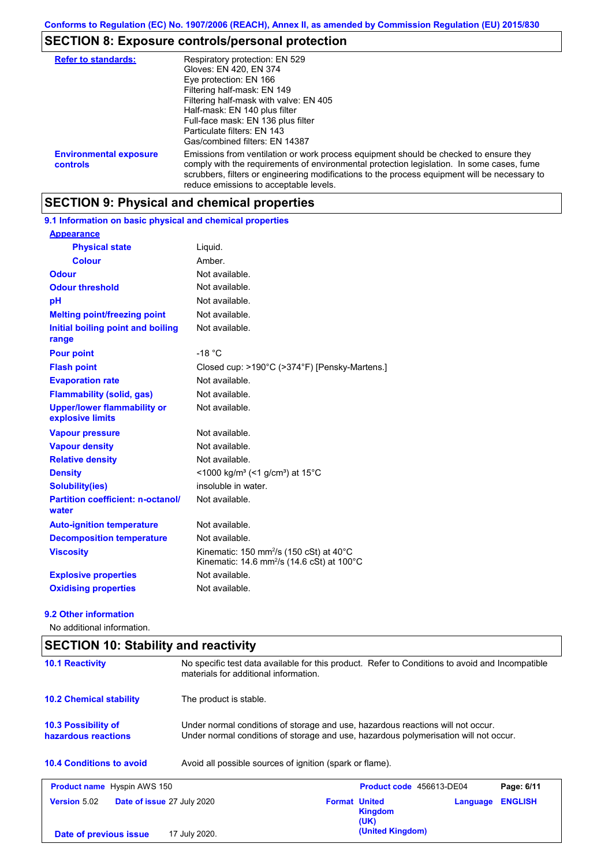# **SECTION 8: Exposure controls/personal protection**

| <b>Refer to standards:</b>                | Respiratory protection: EN 529<br>Gloves: EN 420, EN 374<br>Eye protection: EN 166<br>Filtering half-mask: EN 149<br>Filtering half-mask with valve: EN 405<br>Half-mask: EN 140 plus filter<br>Full-face mask: EN 136 plus filter<br>Particulate filters: EN 143<br>Gas/combined filters: EN 14387                           |
|-------------------------------------------|-------------------------------------------------------------------------------------------------------------------------------------------------------------------------------------------------------------------------------------------------------------------------------------------------------------------------------|
| <b>Environmental exposure</b><br>controls | Emissions from ventilation or work process equipment should be checked to ensure they<br>comply with the requirements of environmental protection legislation. In some cases, fume<br>scrubbers, filters or engineering modifications to the process equipment will be necessary to<br>reduce emissions to acceptable levels. |

## **SECTION 9: Physical and chemical properties**

**9.1 Information on basic physical and chemical properties**

| <b>Appearance</b>                                      |                                                                                                                                        |
|--------------------------------------------------------|----------------------------------------------------------------------------------------------------------------------------------------|
| <b>Physical state</b>                                  | Liquid.                                                                                                                                |
| Colour                                                 | Amber                                                                                                                                  |
| <b>Odour</b>                                           | Not available.                                                                                                                         |
| <b>Odour threshold</b>                                 | Not available.                                                                                                                         |
| рH                                                     | Not available.                                                                                                                         |
| <b>Melting point/freezing point</b>                    | Not available.                                                                                                                         |
| Initial boiling point and boiling<br>range             | Not available.                                                                                                                         |
| <b>Pour point</b>                                      | $-18 °C$                                                                                                                               |
| <b>Flash point</b>                                     | Closed cup: >190°C (>374°F) [Pensky-Martens.]                                                                                          |
| <b>Evaporation rate</b>                                | Not available.                                                                                                                         |
| <b>Flammability (solid, gas)</b>                       | Not available.                                                                                                                         |
| <b>Upper/lower flammability or</b><br>explosive limits | Not available.                                                                                                                         |
| <b>Vapour pressure</b>                                 | Not available.                                                                                                                         |
| <b>Vapour density</b>                                  | Not available.                                                                                                                         |
| <b>Relative density</b>                                | Not available.                                                                                                                         |
| <b>Density</b>                                         | <1000 kg/m <sup>3</sup> (<1 g/cm <sup>3</sup> ) at 15 <sup>°</sup> C                                                                   |
| <b>Solubility(ies)</b>                                 | insoluble in water.                                                                                                                    |
| <b>Partition coefficient: n-octanol/</b><br>water      | Not available.                                                                                                                         |
| <b>Auto-ignition temperature</b>                       | Not available.                                                                                                                         |
| <b>Decomposition temperature</b>                       | Not available.                                                                                                                         |
| <b>Viscosity</b>                                       | Kinematic: 150 mm <sup>2</sup> /s (150 cSt) at $40^{\circ}$ C<br>Kinematic: $14.6$ mm <sup>2</sup> /s ( $14.6$ cSt) at $100^{\circ}$ C |
| <b>Explosive properties</b>                            | Not available.                                                                                                                         |
| <b>Oxidising properties</b>                            | Not available.                                                                                                                         |

### **9.2 Other information**

No additional information.

| <b>SECTION 10: Stability and reactivity</b>              |                                                                                                                                                                         |                      |                                 |          |                |
|----------------------------------------------------------|-------------------------------------------------------------------------------------------------------------------------------------------------------------------------|----------------------|---------------------------------|----------|----------------|
| <b>10.1 Reactivity</b>                                   | No specific test data available for this product. Refer to Conditions to avoid and Incompatible<br>materials for additional information.                                |                      |                                 |          |                |
| <b>10.2 Chemical stability</b>                           | The product is stable.                                                                                                                                                  |                      |                                 |          |                |
| <b>10.3 Possibility of</b><br>hazardous reactions        | Under normal conditions of storage and use, hazardous reactions will not occur.<br>Under normal conditions of storage and use, hazardous polymerisation will not occur. |                      |                                 |          |                |
| <b>10.4 Conditions to avoid</b>                          | Avoid all possible sources of ignition (spark or flame).                                                                                                                |                      |                                 |          |                |
| <b>Product name</b> Hyspin AWS 150                       |                                                                                                                                                                         |                      | <b>Product code</b> 456613-DE04 |          | Page: 6/11     |
| <b>Version 5.02</b><br><b>Date of issue 27 July 2020</b> |                                                                                                                                                                         | <b>Format United</b> | <b>Kingdom</b><br>(UK)          | Language | <b>ENGLISH</b> |
| Date of previous issue                                   | 17 July 2020.                                                                                                                                                           |                      | (United Kingdom)                |          |                |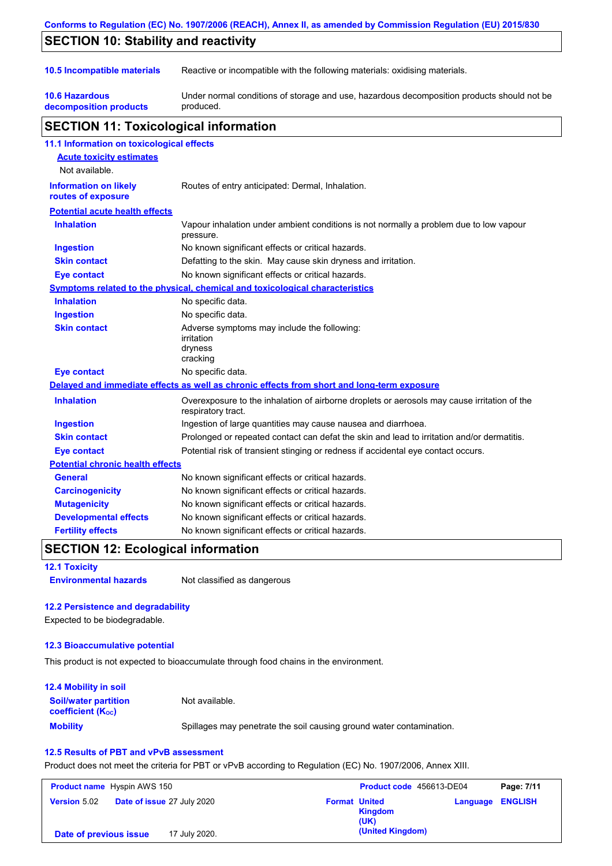|                                                    | Conforms to Regulation (EC) No. 1907/2006 (REACH), Annex II, as amended by Commission Regulation (EU) 2015/830    |  |  |  |
|----------------------------------------------------|-------------------------------------------------------------------------------------------------------------------|--|--|--|
| <b>SECTION 10: Stability and reactivity</b>        |                                                                                                                   |  |  |  |
| 10.5 Incompatible materials                        | Reactive or incompatible with the following materials: oxidising materials.                                       |  |  |  |
| <b>10.6 Hazardous</b><br>decomposition products    | Under normal conditions of storage and use, hazardous decomposition products should not be<br>produced.           |  |  |  |
| <b>SECTION 11: Toxicological information</b>       |                                                                                                                   |  |  |  |
| 11.1 Information on toxicological effects          |                                                                                                                   |  |  |  |
| <b>Acute toxicity estimates</b><br>Not available.  |                                                                                                                   |  |  |  |
| <b>Information on likely</b><br>routes of exposure | Routes of entry anticipated: Dermal, Inhalation.                                                                  |  |  |  |
| <b>Potential acute health effects</b>              |                                                                                                                   |  |  |  |
| <b>Inhalation</b>                                  | Vapour inhalation under ambient conditions is not normally a problem due to low vapour<br>pressure.               |  |  |  |
| <b>Ingestion</b>                                   | No known significant effects or critical hazards.                                                                 |  |  |  |
| <b>Skin contact</b>                                | Defatting to the skin. May cause skin dryness and irritation.                                                     |  |  |  |
| Eye contact                                        | No known significant effects or critical hazards.                                                                 |  |  |  |
|                                                    | Symptoms related to the physical, chemical and toxicological characteristics                                      |  |  |  |
| <b>Inhalation</b>                                  | No specific data.                                                                                                 |  |  |  |
| <b>Ingestion</b>                                   | No specific data.                                                                                                 |  |  |  |
| <b>Skin contact</b>                                | Adverse symptoms may include the following:<br>irritation<br>dryness<br>cracking                                  |  |  |  |
| <b>Eye contact</b>                                 | No specific data.                                                                                                 |  |  |  |
|                                                    | Delayed and immediate effects as well as chronic effects from short and long-term exposure                        |  |  |  |
| <b>Inhalation</b>                                  | Overexposure to the inhalation of airborne droplets or aerosols may cause irritation of the<br>respiratory tract. |  |  |  |
| <b>Ingestion</b>                                   | Ingestion of large quantities may cause nausea and diarrhoea.                                                     |  |  |  |
| <b>Skin contact</b>                                | Prolonged or repeated contact can defat the skin and lead to irritation and/or dermatitis.                        |  |  |  |
| Eye contact                                        | Potential risk of transient stinging or redness if accidental eye contact occurs.                                 |  |  |  |
| <b>Potential chronic health effects</b>            |                                                                                                                   |  |  |  |
| <b>General</b>                                     | No known significant effects or critical hazards.                                                                 |  |  |  |
| <b>Carcinogenicity</b>                             | No known significant effects or critical hazards.                                                                 |  |  |  |
| <b>Mutagenicity</b>                                | No known significant effects or critical hazards.                                                                 |  |  |  |
| <b>Developmental effects</b>                       | No known significant effects or critical hazards.                                                                 |  |  |  |
| <b>Fertility effects</b>                           | No known significant effects or critical hazards.                                                                 |  |  |  |

## **SECTION 12: Ecological information**

### **12.1 Toxicity**

**Environmental hazards** Not classified as dangerous

### **12.2 Persistence and degradability**

Expected to be biodegradable.

### **12.3 Bioaccumulative potential**

This product is not expected to bioaccumulate through food chains in the environment.

| <b>12.4 Mobility in soil</b>                                  |                                                                      |
|---------------------------------------------------------------|----------------------------------------------------------------------|
| <b>Soil/water partition</b><br>coefficient (K <sub>oc</sub> ) | Not available.                                                       |
| <b>Mobility</b>                                               | Spillages may penetrate the soil causing ground water contamination. |

### **12.5 Results of PBT and vPvB assessment**

Product does not meet the criteria for PBT or vPvB according to Regulation (EC) No. 1907/2006, Annex XIII.

| <b>Product name</b> Hyspin AWS 150                       | Product code 456613-DE04                                                  | Page: 7/11 |
|----------------------------------------------------------|---------------------------------------------------------------------------|------------|
| <b>Date of issue 27 July 2020</b><br><b>Version 5.02</b> | <b>Format United</b><br><b>Language ENGLISH</b><br><b>Kingdom</b><br>(UK) |            |
| 17 July 2020.<br>Date of previous issue                  | (United Kingdom)                                                          |            |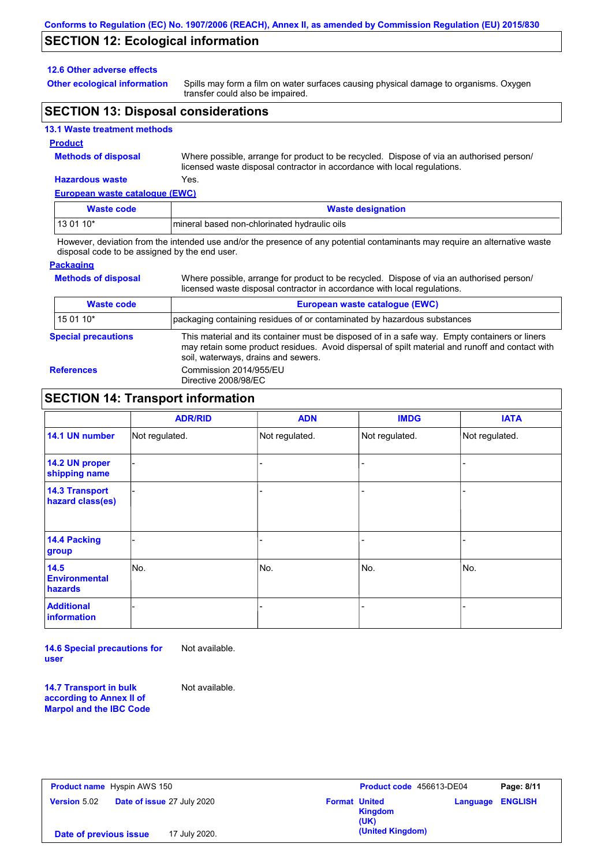## **SECTION 12: Ecological information**

### **12.6 Other adverse effects**

**Other ecological information**

Spills may form a film on water surfaces causing physical damage to organisms. Oxygen transfer could also be impaired.

## **SECTION 13: Disposal considerations**

### **13.1 Waste treatment methods**

#### **Product**

**Methods of disposal**

Where possible, arrange for product to be recycled. Dispose of via an authorised person/ licensed waste disposal contractor in accordance with local regulations.

Where possible, arrange for product to be recycled. Dispose of via an authorised person/

## **Hazardous waste** Yes.

| European waste catalogue (EWC) |                                              |  |  |
|--------------------------------|----------------------------------------------|--|--|
| Waste code                     | <b>Waste designation</b>                     |  |  |
| $130110*$                      | mineral based non-chlorinated hydraulic oils |  |  |

However, deviation from the intended use and/or the presence of any potential contaminants may require an alternative waste disposal code to be assigned by the end user.

### **Packaging**

**Methods of disposal**

| licensed waste disposal contractor in accordance with local regulations. |                                                                                                                                                                                                                                         |  |  |
|--------------------------------------------------------------------------|-----------------------------------------------------------------------------------------------------------------------------------------------------------------------------------------------------------------------------------------|--|--|
| <b>Waste code</b>                                                        | European waste catalogue (EWC)                                                                                                                                                                                                          |  |  |
| 15 01 10*                                                                | packaging containing residues of or contaminated by hazardous substances                                                                                                                                                                |  |  |
| <b>Special precautions</b>                                               | This material and its container must be disposed of in a safe way. Empty containers or liners<br>may retain some product residues. Avoid dispersal of spilt material and runoff and contact with<br>soil, waterways, drains and sewers. |  |  |
| <b>References</b>                                                        | Commission 2014/955/EU<br>Directive 2008/98/EC                                                                                                                                                                                          |  |  |

### **SECTION 14: Transport information**

|                                           | <b>ADR/RID</b> | <b>ADN</b>     | <b>IMDG</b>    | <b>IATA</b>    |
|-------------------------------------------|----------------|----------------|----------------|----------------|
| 14.1 UN number                            | Not regulated. | Not regulated. | Not regulated. | Not regulated. |
| 14.2 UN proper<br>shipping name           |                |                |                |                |
| <b>14.3 Transport</b><br>hazard class(es) |                |                | ÷              |                |
| 14.4 Packing<br>group                     |                |                |                |                |
| 14.5<br><b>Environmental</b><br>hazards   | No.            | No.            | No.            | INo.           |
| <b>Additional</b><br>information          |                |                |                |                |

**14.6 Special precautions for user** Not available.

**14.7 Transport in bulk according to Annex II of Marpol and the IBC Code** Not available.

| <b>Product name</b> Hyspin AWS 150                       | Product code 456613-DE04                            | Page: 8/11     |
|----------------------------------------------------------|-----------------------------------------------------|----------------|
| <b>Date of issue 27 July 2020</b><br><b>Version 5.02</b> | <b>Format United</b><br>Language<br>Kingdom<br>(UK) | <b>ENGLISH</b> |
| 17 July 2020.<br>Date of previous issue                  | (United Kingdom)                                    |                |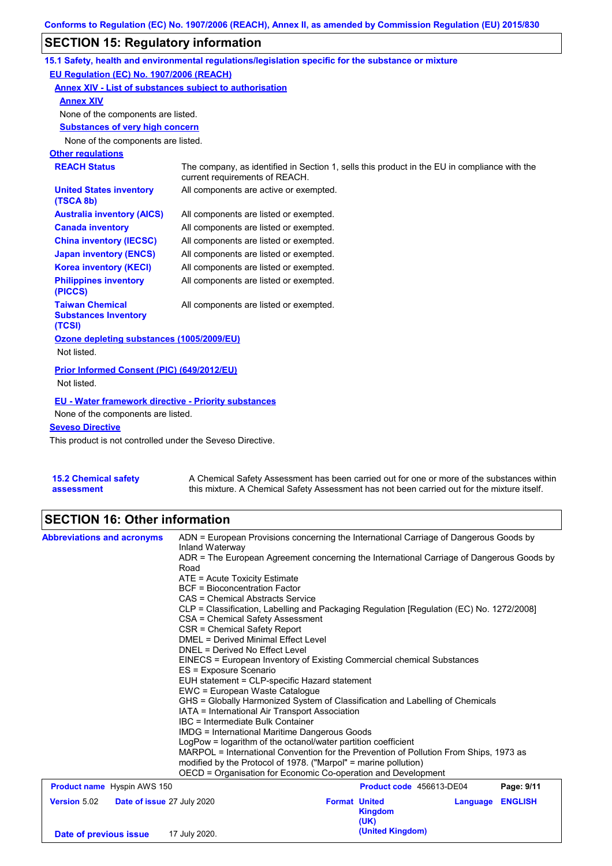# **SECTION 15: Regulatory information**

|                                                                 | 15.1 Safety, health and environmental regulations/legislation specific for the substance or mixture                            |
|-----------------------------------------------------------------|--------------------------------------------------------------------------------------------------------------------------------|
| EU Regulation (EC) No. 1907/2006 (REACH)                        |                                                                                                                                |
| Annex XIV - List of substances subject to authorisation         |                                                                                                                                |
| <b>Annex XIV</b>                                                |                                                                                                                                |
| None of the components are listed.                              |                                                                                                                                |
| <b>Substances of very high concern</b>                          |                                                                                                                                |
| None of the components are listed.                              |                                                                                                                                |
| <b>Other regulations</b>                                        |                                                                                                                                |
| <b>REACH Status</b>                                             | The company, as identified in Section 1, sells this product in the EU in compliance with the<br>current requirements of REACH. |
| <b>United States inventory</b><br>(TSCA 8b)                     | All components are active or exempted.                                                                                         |
| <b>Australia inventory (AICS)</b>                               | All components are listed or exempted.                                                                                         |
| <b>Canada inventory</b>                                         | All components are listed or exempted.                                                                                         |
| <b>China inventory (IECSC)</b>                                  | All components are listed or exempted.                                                                                         |
| <b>Japan inventory (ENCS)</b>                                   | All components are listed or exempted.                                                                                         |
| <b>Korea inventory (KECI)</b>                                   | All components are listed or exempted.                                                                                         |
| <b>Philippines inventory</b><br>(PICCS)                         | All components are listed or exempted.                                                                                         |
| <b>Taiwan Chemical</b><br><b>Substances Inventory</b><br>(TCSI) | All components are listed or exempted.                                                                                         |
| Ozone depleting substances (1005/2009/EU)                       |                                                                                                                                |
| Not listed.                                                     |                                                                                                                                |
| Prior Informed Consent (PIC) (649/2012/EU)                      |                                                                                                                                |
| Not listed.                                                     |                                                                                                                                |
| <b>EU - Water framework directive - Priority substances</b>     |                                                                                                                                |
| None of the components are listed.                              |                                                                                                                                |
| <b>Seveso Directive</b>                                         |                                                                                                                                |
| Thio product is not controlled under the Couses Directive       |                                                                                                                                |

This product is not controlled under the Seveso Directive.

| 15.2 Chemical safety | A Chemical Safety Assessment has been carried out for one or more of the substances within  |
|----------------------|---------------------------------------------------------------------------------------------|
| assessment           | this mixture. A Chemical Safety Assessment has not been carried out for the mixture itself. |

# **SECTION 16: Other information**

| <b>Abbreviations and acronyms</b>                 | ADN = European Provisions concerning the International Carriage of Dangerous Goods by<br>Inland Waterway |                          |                            |  |  |
|---------------------------------------------------|----------------------------------------------------------------------------------------------------------|--------------------------|----------------------------|--|--|
|                                                   | ADR = The European Agreement concerning the International Carriage of Dangerous Goods by                 |                          |                            |  |  |
|                                                   | Road                                                                                                     |                          |                            |  |  |
|                                                   | ATE = Acute Toxicity Estimate                                                                            |                          |                            |  |  |
|                                                   | <b>BCF</b> = Bioconcentration Factor                                                                     |                          |                            |  |  |
|                                                   | CAS = Chemical Abstracts Service                                                                         |                          |                            |  |  |
|                                                   | CLP = Classification, Labelling and Packaging Regulation [Regulation (EC) No. 1272/2008]                 |                          |                            |  |  |
|                                                   | CSA = Chemical Safety Assessment                                                                         |                          |                            |  |  |
|                                                   | CSR = Chemical Safety Report                                                                             |                          |                            |  |  |
|                                                   | DMEL = Derived Minimal Effect Level                                                                      |                          |                            |  |  |
|                                                   | DNEL = Derived No Effect Level                                                                           |                          |                            |  |  |
|                                                   | EINECS = European Inventory of Existing Commercial chemical Substances<br>ES = Exposure Scenario         |                          |                            |  |  |
|                                                   | EUH statement = CLP-specific Hazard statement                                                            |                          |                            |  |  |
|                                                   | EWC = European Waste Catalogue                                                                           |                          |                            |  |  |
|                                                   | GHS = Globally Harmonized System of Classification and Labelling of Chemicals                            |                          |                            |  |  |
|                                                   | IATA = International Air Transport Association                                                           |                          |                            |  |  |
|                                                   | IBC = Intermediate Bulk Container                                                                        |                          |                            |  |  |
|                                                   | <b>IMDG = International Maritime Dangerous Goods</b>                                                     |                          |                            |  |  |
|                                                   | LogPow = logarithm of the octanol/water partition coefficient                                            |                          |                            |  |  |
|                                                   | MARPOL = International Convention for the Prevention of Pollution From Ships, 1973 as                    |                          |                            |  |  |
|                                                   | modified by the Protocol of 1978. ("Marpol" = marine pollution)                                          |                          |                            |  |  |
|                                                   | OECD = Organisation for Economic Co-operation and Development                                            |                          |                            |  |  |
| <b>Product name</b> Hyspin AWS 150                |                                                                                                          | Product code 456613-DE04 | Page: 9/11                 |  |  |
| <b>Version 5.02</b><br>Date of issue 27 July 2020 |                                                                                                          | <b>Format United</b>     | <b>ENGLISH</b><br>Language |  |  |
|                                                   |                                                                                                          | <b>Kingdom</b>           |                            |  |  |
|                                                   |                                                                                                          | (UK)                     |                            |  |  |
| Date of previous issue                            | 17 July 2020.                                                                                            | (United Kingdom)         |                            |  |  |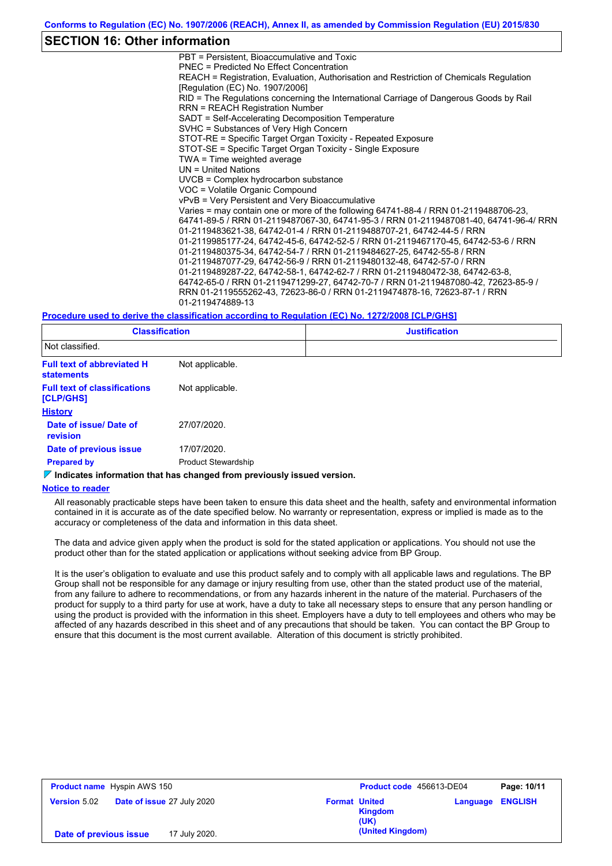### **SECTION 16: Other information**

PBT = Persistent, Bioaccumulative and Toxic PNEC = Predicted No Effect Concentration REACH = Registration, Evaluation, Authorisation and Restriction of Chemicals Regulation [Regulation (EC) No. 1907/2006] RID = The Regulations concerning the International Carriage of Dangerous Goods by Rail RRN = REACH Registration Number SADT = Self-Accelerating Decomposition Temperature SVHC = Substances of Very High Concern STOT-RE = Specific Target Organ Toxicity - Repeated Exposure STOT-SE = Specific Target Organ Toxicity - Single Exposure TWA = Time weighted average UN = United Nations UVCB = Complex hydrocarbon substance VOC = Volatile Organic Compound vPvB = Very Persistent and Very Bioaccumulative Varies = may contain one or more of the following 64741-88-4 / RRN 01-2119488706-23, 64741-89-5 / RRN 01-2119487067-30, 64741-95-3 / RRN 01-2119487081-40, 64741-96-4/ RRN 01-2119483621-38, 64742-01-4 / RRN 01-2119488707-21, 64742-44-5 / RRN 01-2119985177-24, 64742-45-6, 64742-52-5 / RRN 01-2119467170-45, 64742-53-6 / RRN 01-2119480375-34, 64742-54-7 / RRN 01-2119484627-25, 64742-55-8 / RRN 01-2119487077-29, 64742-56-9 / RRN 01-2119480132-48, 64742-57-0 / RRN 01-2119489287-22, 64742-58-1, 64742-62-7 / RRN 01-2119480472-38, 64742-63-8, 64742-65-0 / RRN 01-2119471299-27, 64742-70-7 / RRN 01-2119487080-42, 72623-85-9 / RRN 01-2119555262-43, 72623-86-0 / RRN 01-2119474878-16, 72623-87-1 / RRN 01-2119474889-13

#### **Procedure used to derive the classification according to Regulation (EC) No. 1272/2008 [CLP/GHS]**

| <b>Classification</b>                                  |                            | <b>Justification</b> |
|--------------------------------------------------------|----------------------------|----------------------|
| Not classified.                                        |                            |                      |
| <b>Full text of abbreviated H</b><br><b>statements</b> | Not applicable.            |                      |
| <b>Full text of classifications</b><br>[CLP/GHS]       | Not applicable.            |                      |
| <b>History</b>                                         |                            |                      |
| Date of issue/Date of<br><b>revision</b>               | 27/07/2020.                |                      |
| Date of previous issue                                 | 17/07/2020.                |                      |
| <b>Prepared by</b>                                     | <b>Product Stewardship</b> |                      |

### **Indicates information that has changed from previously issued version.**

#### **Notice to reader**

All reasonably practicable steps have been taken to ensure this data sheet and the health, safety and environmental information contained in it is accurate as of the date specified below. No warranty or representation, express or implied is made as to the accuracy or completeness of the data and information in this data sheet.

The data and advice given apply when the product is sold for the stated application or applications. You should not use the product other than for the stated application or applications without seeking advice from BP Group.

It is the user's obligation to evaluate and use this product safely and to comply with all applicable laws and regulations. The BP Group shall not be responsible for any damage or injury resulting from use, other than the stated product use of the material, from any failure to adhere to recommendations, or from any hazards inherent in the nature of the material. Purchasers of the product for supply to a third party for use at work, have a duty to take all necessary steps to ensure that any person handling or using the product is provided with the information in this sheet. Employers have a duty to tell employees and others who may be affected of any hazards described in this sheet and of any precautions that should be taken. You can contact the BP Group to ensure that this document is the most current available. Alteration of this document is strictly prohibited.

| <b>Product name</b> Hyspin AWS 150 |                                   | Product code 456613-DE04                       |                         | Page: 10/11 |
|------------------------------------|-----------------------------------|------------------------------------------------|-------------------------|-------------|
| <b>Version</b> 5.02                | <b>Date of issue 27 July 2020</b> | <b>Format United</b><br><b>Kingdom</b><br>(UK) | <b>Language ENGLISH</b> |             |
| Date of previous issue             | 17 July 2020.                     | (United Kingdom)                               |                         |             |